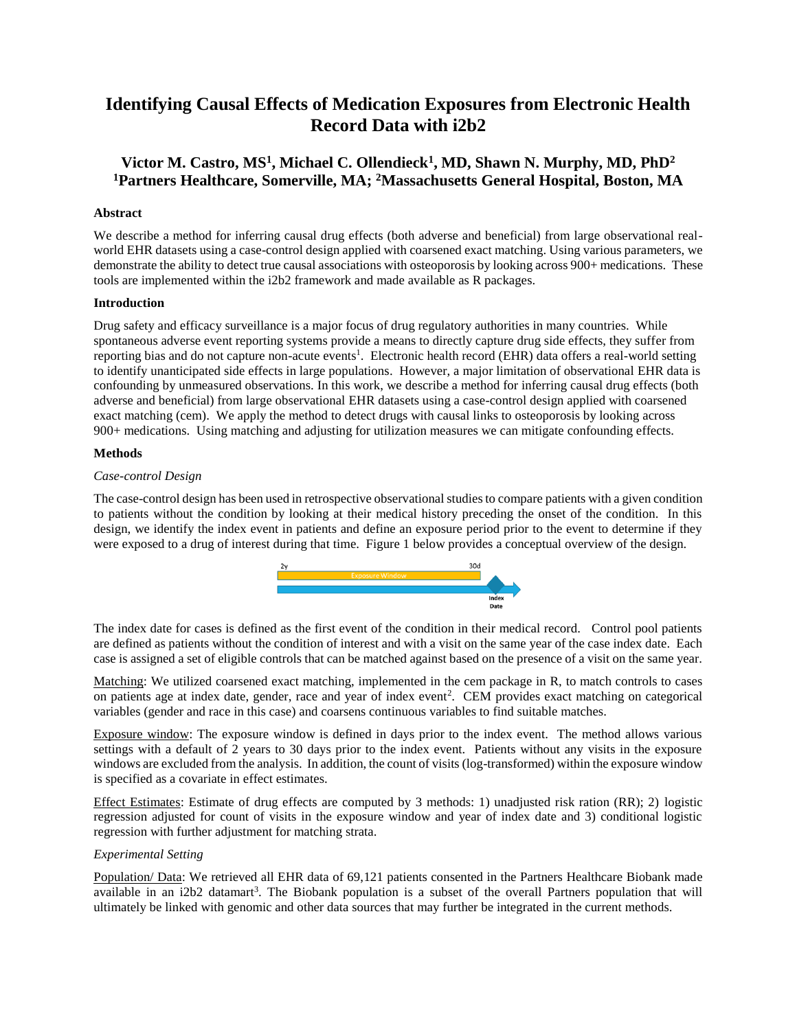# **Identifying Causal Effects of Medication Exposures from Electronic Health Record Data with i2b2**

# **Victor M. Castro, MS<sup>1</sup> , Michael C. Ollendieck<sup>1</sup> , MD, Shawn N. Murphy, MD, PhD<sup>2</sup> <sup>1</sup>Partners Healthcare, Somerville, MA; <sup>2</sup>Massachusetts General Hospital, Boston, MA**

# **Abstract**

We describe a method for inferring causal drug effects (both adverse and beneficial) from large observational realworld EHR datasets using a case-control design applied with coarsened exact matching. Using various parameters, we demonstrate the ability to detect true causal associations with osteoporosis by looking across 900+ medications. These tools are implemented within the i2b2 framework and made available as R packages.

#### **Introduction**

Drug safety and efficacy surveillance is a major focus of drug regulatory authorities in many countries. While spontaneous adverse event reporting systems provide a means to directly capture drug side effects, they suffer from reporting bias and do not capture non-acute events<sup>1</sup>. Electronic health record (EHR) data offers a real-world setting to identify unanticipated side effects in large populations. However, a major limitation of observational EHR data is confounding by unmeasured observations. In this work, we describe a method for inferring causal drug effects (both adverse and beneficial) from large observational EHR datasets using a case-control design applied with coarsened exact matching (cem). We apply the method to detect drugs with causal links to osteoporosis by looking across 900+ medications. Using matching and adjusting for utilization measures we can mitigate confounding effects.

## **Methods**

## *Case-control Design*

The case-control design has been used in retrospective observational studies to compare patients with a given condition to patients without the condition by looking at their medical history preceding the onset of the condition. In this design, we identify the index event in patients and define an exposure period prior to the event to determine if they were exposed to a drug of interest during that time. Figure 1 below provides a conceptual overview of the design.



The index date for cases is defined as the first event of the condition in their medical record. Control pool patients are defined as patients without the condition of interest and with a visit on the same year of the case index date. Each case is assigned a set of eligible controls that can be matched against based on the presence of a visit on the same year.

Matching: We utilized coarsened exact matching, implemented in the cem package in R, to match controls to cases on patients age at index date, gender, race and year of index event<sup>2</sup>. CEM provides exact matching on categorical variables (gender and race in this case) and coarsens continuous variables to find suitable matches.

Exposure window: The exposure window is defined in days prior to the index event. The method allows various settings with a default of 2 years to 30 days prior to the index event. Patients without any visits in the exposure windows are excluded from the analysis. In addition, the count of visits (log-transformed) within the exposure window is specified as a covariate in effect estimates.

Effect Estimates: Estimate of drug effects are computed by 3 methods: 1) unadjusted risk ration (RR); 2) logistic regression adjusted for count of visits in the exposure window and year of index date and 3) conditional logistic regression with further adjustment for matching strata.

# *Experimental Setting*

Population/ Data: We retrieved all EHR data of 69,121 patients consented in the Partners Healthcare Biobank made available in an i2b2 datamart<sup>3</sup>. The Biobank population is a subset of the overall Partners population that will ultimately be linked with genomic and other data sources that may further be integrated in the current methods.